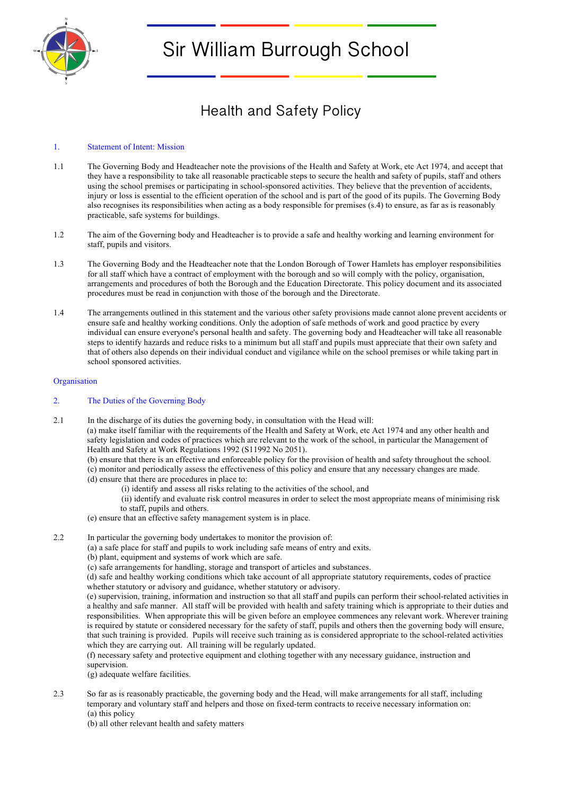

# Sir William Burrough School

# Health and Safety Policy

# 1. Statement of Intent: Mission

- 1.1 The Governing Body and Headteacher note the provisions of the Health and Safety at Work, etc Act 1974, and accept that they have a responsibility to take all reasonable practicable steps to secure the health and safety of pupils, staff and others using the school premises or participating in school-sponsored activities. They believe that the prevention of accidents, injury or loss is essential to the efficient operation of the school and is part of the good of its pupils. The Governing Body also recognises its responsibilities when acting as a body responsible for premises (s.4) to ensure, as far as is reasonably practicable, safe systems for buildings.
- 1.2 The aim of the Governing body and Headteacher is to provide a safe and healthy working and learning environment for staff, pupils and visitors.
- 1.3 The Governing Body and the Headteacher note that the London Borough of Tower Hamlets has employer responsibilities for all staff which have a contract of employment with the borough and so will comply with the policy, organisation, arrangements and procedures of both the Borough and the Education Directorate. This policy document and its associated procedures must be read in conjunction with those of the borough and the Directorate.
- 1.4 The arrangements outlined in this statement and the various other safety provisions made cannot alone prevent accidents or ensure safe and healthy working conditions. Only the adoption of safe methods of work and good practice by every individual can ensure everyone's personal health and safety. The governing body and Headteacher will take all reasonable steps to identify hazards and reduce risks to a minimum but all staff and pupils must appreciate that their own safety and that of others also depends on their individual conduct and vigilance while on the school premises or while taking part in school sponsored activities.

#### **Organisation**

# 2. The Duties of the Governing Body

- 2.1 In the discharge of its duties the governing body, in consultation with the Head will: (a) make itself familiar with the requirements of the Health and Safety at Work, etc Act 1974 and any other health and safety legislation and codes of practices which are relevant to the work of the school, in particular the Management of Health and Safety at Work Regulations 1992 (S11992 No 2051).
	- (b) ensure that there is an effective and enforceable policy for the provision of health and safety throughout the school.
	- (c) monitor and periodically assess the effectiveness of this policy and ensure that any necessary changes are made.
	- (d) ensure that there are procedures in place to:
		- (i) identify and assess all risks relating to the activities of the school, and
		- (ii) identify and evaluate risk control measures in order to select the most appropriate means of minimising risk to staff, pupils and others.
	- (e) ensure that an effective safety management system is in place.
- 2.2 In particular the governing body undertakes to monitor the provision of:
	- (a) a safe place for staff and pupils to work including safe means of entry and exits.
	- (b) plant, equipment and systems of work which are safe.
	- (c) safe arrangements for handling, storage and transport of articles and substances.

(d) safe and healthy working conditions which take account of all appropriate statutory requirements, codes of practice whether statutory or advisory and guidance, whether statutory or advisory.

(e) supervision, training, information and instruction so that all staff and pupils can perform their school-related activities in a healthy and safe manner. All staff will be provided with health and safety training which is appropriate to their duties and responsibilities. When appropriate this will be given before an employee commences any relevant work. Wherever training is required by statute or considered necessary for the safety of staff, pupils and others then the governing body will ensure, that such training is provided. Pupils will receive such training as is considered appropriate to the school-related activities which they are carrying out. All training will be regularly updated.

(f) necessary safety and protective equipment and clothing together with any necessary guidance, instruction and supervision.

(g) adequate welfare facilities.

- 2.3 So far as is reasonably practicable, the governing body and the Head, will make arrangements for all staff, including temporary and voluntary staff and helpers and those on fixed-term contracts to receive necessary information on: (a) this policy
	- (b) all other relevant health and safety matters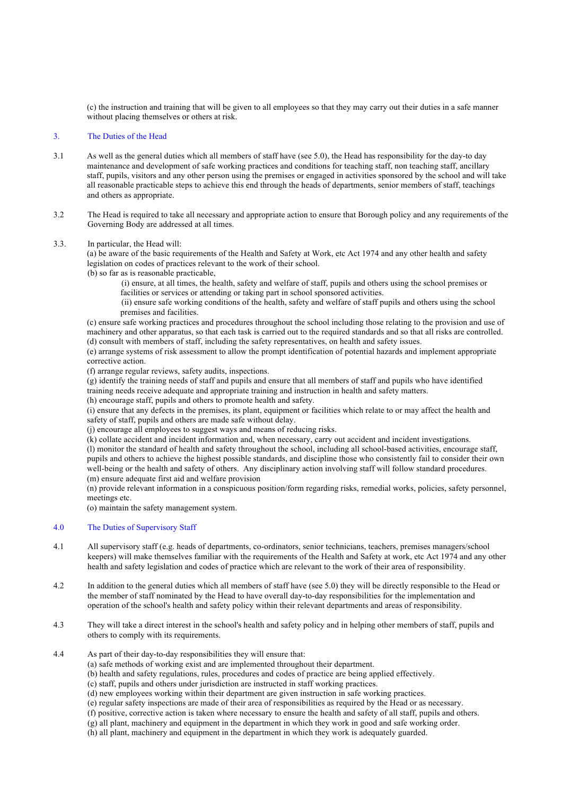(c) the instruction and training that will be given to all employees so that they may carry out their duties in a safe manner without placing themselves or others at risk.

# 3. The Duties of the Head

- 3.1 As well as the general duties which all members of staff have (see 5.0), the Head has responsibility for the day-to day maintenance and development of safe working practices and conditions for teaching staff, non teaching staff, ancillary staff, pupils, visitors and any other person using the premises or engaged in activities sponsored by the school and will take all reasonable practicable steps to achieve this end through the heads of departments, senior members of staff, teachings and others as appropriate.
- 3.2 The Head is required to take all necessary and appropriate action to ensure that Borough policy and any requirements of the Governing Body are addressed at all times.

# 3.3. In particular, the Head will:

(a) be aware of the basic requirements of the Health and Safety at Work, etc Act 1974 and any other health and safety legislation on codes of practices relevant to the work of their school.

(b) so far as is reasonable practicable,

(i) ensure, at all times, the health, safety and welfare of staff, pupils and others using the school premises or facilities or services or attending or taking part in school sponsored activities.

(ii) ensure safe working conditions of the health, safety and welfare of staff pupils and others using the school premises and facilities.

(c) ensure safe working practices and procedures throughout the school including those relating to the provision and use of machinery and other apparatus, so that each task is carried out to the required standards and so that all risks are controlled. (d) consult with members of staff, including the safety representatives, on health and safety issues.

(e) arrange systems of risk assessment to allow the prompt identification of potential hazards and implement appropriate corrective action.

(f) arrange regular reviews, safety audits, inspections.

(g) identify the training needs of staff and pupils and ensure that all members of staff and pupils who have identified training needs receive adequate and appropriate training and instruction in health and safety matters.

(h) encourage staff, pupils and others to promote health and safety.

(i) ensure that any defects in the premises, its plant, equipment or facilities which relate to or may affect the health and safety of staff, pupils and others are made safe without delay.

(j) encourage all employees to suggest ways and means of reducing risks.

(k) collate accident and incident information and, when necessary, carry out accident and incident investigations. (l) monitor the standard of health and safety throughout the school, including all school-based activities, encourage staff, pupils and others to achieve the highest possible standards, and discipline those who consistently fail to consider their own well-being or the health and safety of others. Any disciplinary action involving staff will follow standard procedures. (m) ensure adequate first aid and welfare provision

(n) provide relevant information in a conspicuous position/form regarding risks, remedial works, policies, safety personnel, meetings etc.

(o) maintain the safety management system.

## 4.0 The Duties of Supervisory Staff

- 4.1 All supervisory staff (e.g. heads of departments, co-ordinators, senior technicians, teachers, premises managers/school keepers) will make themselves familiar with the requirements of the Health and Safety at work, etc Act 1974 and any other health and safety legislation and codes of practice which are relevant to the work of their area of responsibility.
- 4.2 In addition to the general duties which all members of staff have (see 5.0) they will be directly responsible to the Head or the member of staff nominated by the Head to have overall day-to-day responsibilities for the implementation and operation of the school's health and safety policy within their relevant departments and areas of responsibility.
- 4.3 They will take a direct interest in the school's health and safety policy and in helping other members of staff, pupils and others to comply with its requirements.
- 4.4 As part of their day-to-day responsibilities they will ensure that:
	- (a) safe methods of working exist and are implemented throughout their department.
	- (b) health and safety regulations, rules, procedures and codes of practice are being applied effectively.

(c) staff, pupils and others under jurisdiction are instructed in staff working practices.

(d) new employees working within their department are given instruction in safe working practices.

(e) regular safety inspections are made of their area of responsibilities as required by the Head or as necessary.

(f) positive, corrective action is taken where necessary to ensure the health and safety of all staff, pupils and others.

(g) all plant, machinery and equipment in the department in which they work in good and safe working order.

(h) all plant, machinery and equipment in the department in which they work is adequately guarded.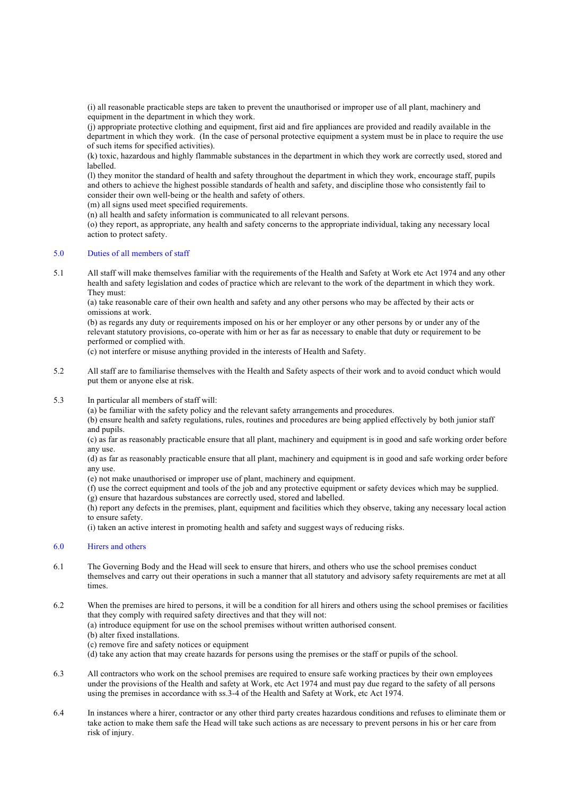(i) all reasonable practicable steps are taken to prevent the unauthorised or improper use of all plant, machinery and equipment in the department in which they work.

(j) appropriate protective clothing and equipment, first aid and fire appliances are provided and readily available in the department in which they work. (In the case of personal protective equipment a system must be in place to require the use of such items for specified activities).

(k) toxic, hazardous and highly flammable substances in the department in which they work are correctly used, stored and labelled.

(l) they monitor the standard of health and safety throughout the department in which they work, encourage staff, pupils and others to achieve the highest possible standards of health and safety, and discipline those who consistently fail to consider their own well-being or the health and safety of others.

(m) all signs used meet specified requirements.

(n) all health and safety information is communicated to all relevant persons.

(o) they report, as appropriate, any health and safety concerns to the appropriate individual, taking any necessary local action to protect safety.

# 5.0 Duties of all members of staff

5.1 All staff will make themselves familiar with the requirements of the Health and Safety at Work etc Act 1974 and any other health and safety legislation and codes of practice which are relevant to the work of the department in which they work. They must:

(a) take reasonable care of their own health and safety and any other persons who may be affected by their acts or omissions at work.

(b) as regards any duty or requirements imposed on his or her employer or any other persons by or under any of the relevant statutory provisions, co-operate with him or her as far as necessary to enable that duty or requirement to be performed or complied with.

(c) not interfere or misuse anything provided in the interests of Health and Safety.

- 5.2 All staff are to familiarise themselves with the Health and Safety aspects of their work and to avoid conduct which would put them or anyone else at risk.
- 5.3 In particular all members of staff will:

(a) be familiar with the safety policy and the relevant safety arrangements and procedures.

(b) ensure health and safety regulations, rules, routines and procedures are being applied effectively by both junior staff and pupils.

(c) as far as reasonably practicable ensure that all plant, machinery and equipment is in good and safe working order before any use.

(d) as far as reasonably practicable ensure that all plant, machinery and equipment is in good and safe working order before any use.

- (e) not make unauthorised or improper use of plant, machinery and equipment.
- (f) use the correct equipment and tools of the job and any protective equipment or safety devices which may be supplied.
- (g) ensure that hazardous substances are correctly used, stored and labelled.

(h) report any defects in the premises, plant, equipment and facilities which they observe, taking any necessary local action to ensure safety.

(i) taken an active interest in promoting health and safety and suggest ways of reducing risks.

# 6.0 Hirers and others

6.1 The Governing Body and the Head will seek to ensure that hirers, and others who use the school premises conduct themselves and carry out their operations in such a manner that all statutory and advisory safety requirements are met at all times.

6.2 When the premises are hired to persons, it will be a condition for all hirers and others using the school premises or facilities that they comply with required safety directives and that they will not:

(a) introduce equipment for use on the school premises without written authorised consent.

- (b) alter fixed installations.
- (c) remove fire and safety notices or equipment
- (d) take any action that may create hazards for persons using the premises or the staff or pupils of the school.
- 6.3 All contractors who work on the school premises are required to ensure safe working practices by their own employees under the provisions of the Health and safety at Work, etc Act 1974 and must pay due regard to the safety of all persons using the premises in accordance with ss.3-4 of the Health and Safety at Work, etc Act 1974.
- 6.4 In instances where a hirer, contractor or any other third party creates hazardous conditions and refuses to eliminate them or take action to make them safe the Head will take such actions as are necessary to prevent persons in his or her care from risk of injury.